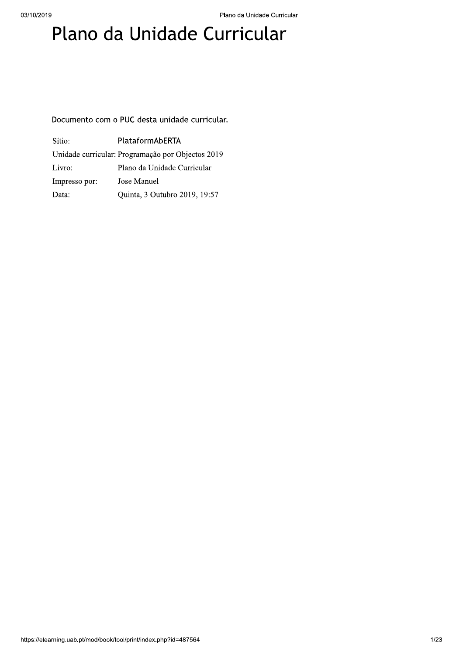# Plano da Unidade Curricular

## Documento com o PUC desta unidade curricular.

| Sítio:        | PlataformAbERTA                                   |  |
|---------------|---------------------------------------------------|--|
|               | Unidade curricular: Programação por Objectos 2019 |  |
| Livro:        | Plano da Unidade Curricular                       |  |
| Impresso por: | Jose Manuel                                       |  |
| Data:         | Quinta, 3 Outubro 2019, 19:57                     |  |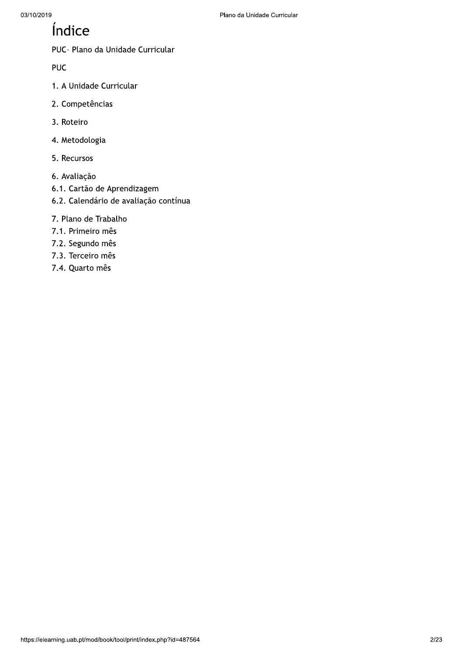## Índice

PUC- Plano da Unidade Curricular

**PUC** 

- 1. A Unidade Curricular
- 2. Competências
- 3. Roteiro
- 4. Metodologia
- 5. Recursos
- 6. Avaliação
- 6.1. Cartão de Aprendizagem
- 6.2. Calendário de avaliação contínua
- 7. Plano de Trabalho
- 7.1. Primeiro mês
- 7.2. Segundo mês
- 7.3. Terceiro mês
- 7.4. Quarto mês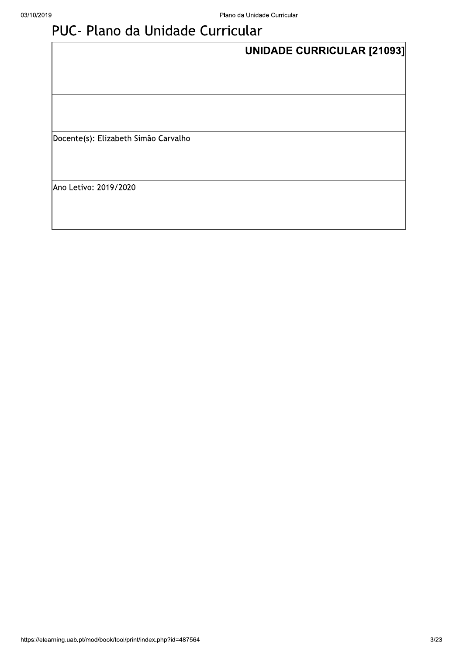# PUC- Plano da Unidade Curricular

|                                      | UNIDADE CURRICULAR [21093] |  |
|--------------------------------------|----------------------------|--|
|                                      |                            |  |
|                                      |                            |  |
|                                      |                            |  |
| Docente(s): Elizabeth Simão Carvalho |                            |  |
|                                      |                            |  |
| Ano Letivo: 2019/2020                |                            |  |
|                                      |                            |  |
|                                      |                            |  |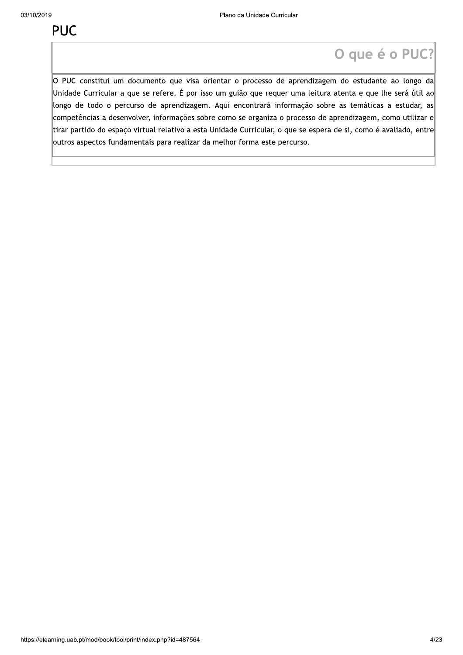Plano da Unidade Curricular<br>
Dispute é O PUC?<br>
O PUC constitui um documento que visa orientar o processo de aprendizagem do estudante ao longo da<br>
Unidade Curricular a que se refere. É por isso um guião que requer uma leit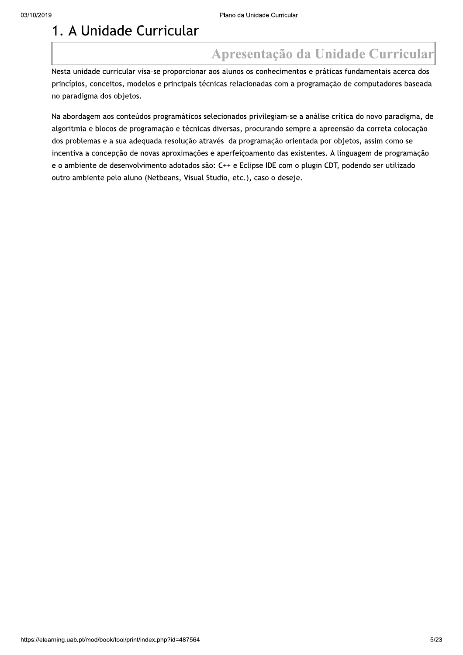$[0.37102019] \label{t:201} \begin{tabular}{l|l|l|} \hline \multicolumn{1}{l}{\textbf{0.57}} \multicolumn{1}{l}{\textbf{0.57}} \multicolumn{1}{l}{\textbf{0.57}} \multicolumn{1}{l}{\textbf{0.57}} \multicolumn{1}{l}{\textbf{0.57}} \multicolumn{1}{l}{\textbf{0.57}} \multicolumn{1}{l}{\textbf{0.57}} \multicolumn{1}{l}{\textbf{0.57}} \multicolumn{1}{l}{\textbf{0.57}} \multicolumn{1}{l}{\textbf{0.57}} \multic$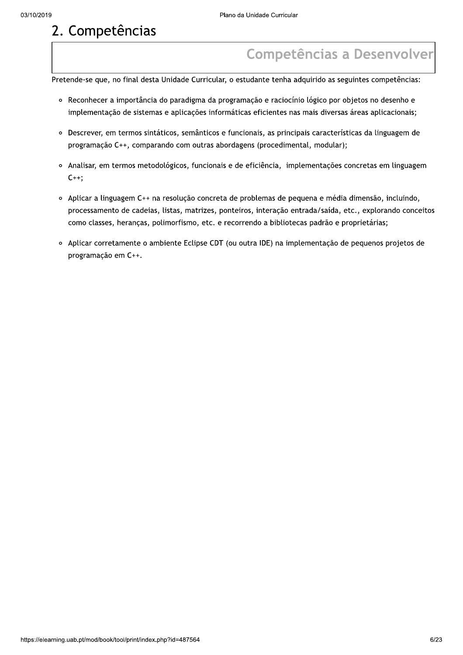- 
- Plano da Unidade Curricular<br> **2. Competências**<br>
Pretende-se que, no final desta Unidade Curricular, o estudante tenha adquirido as seguintes competências:<br>
Pretende-se que, no final desta Unidade Curricular, o estudante te programação C++, comparando com outras abordagens (procedimental, modular);
	- o Analisar, em termos metodológicos, funcionais e de eficiência, implementações concretas em linguagem  $C_{++}$ ;
	- programação C++, comparando com outras abordagens (procedimental, modular);<br>Analisar, em termos metodológicos, funcionais e de eficiência, implementações concretas em linguagem<br>C++;<br>Aplicar a linguagem C++ na resolução con
	-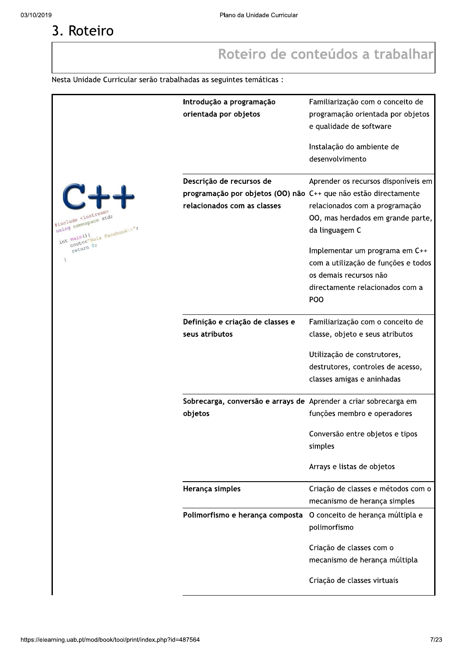# 3. Roteiro

## Roteiro de conteúdos a trabalhar

Nesta Unidade Curricular serão trabalhadas as seguintes temáticas :

|                                             | Introdução a programação                                         | Familiarização com o conceito de    |
|---------------------------------------------|------------------------------------------------------------------|-------------------------------------|
|                                             | orientada por objetos                                            | programação orientada por objetos   |
|                                             |                                                                  | e qualidade de software             |
|                                             |                                                                  |                                     |
|                                             |                                                                  | Instalação do ambiente de           |
|                                             |                                                                  | desenvolvimento                     |
|                                             |                                                                  |                                     |
|                                             | Descrição de recursos de                                         | Aprender os recursos disponíveis em |
|                                             | programação por objetos (OO) não C++ que não estão directamente  |                                     |
|                                             | relacionados com as classes                                      | relacionados com a programação      |
| #include <iostream></iostream>              |                                                                  | 00, mas herdados em grande parte,   |
| using namespace std;                        |                                                                  | da linguagem C                      |
| COULLY VALOIA Facebook (n";<br>int main (){ |                                                                  |                                     |
| return 0;                                   |                                                                  | Implementar um programa em C++      |
| $\mathcal{I}$                               |                                                                  | com a utilização de funções e todos |
|                                             |                                                                  |                                     |
|                                             |                                                                  | os demais recursos não              |
|                                             |                                                                  | directamente relacionados com a     |
|                                             |                                                                  | POO                                 |
|                                             |                                                                  |                                     |
|                                             | Definição e criação de classes e                                 | Familiarização com o conceito de    |
|                                             | seus atributos                                                   | classe, objeto e seus atributos     |
|                                             |                                                                  | Utilização de construtores,         |
|                                             |                                                                  |                                     |
|                                             |                                                                  | destrutores, controles de acesso,   |
|                                             |                                                                  | classes amigas e aninhadas          |
|                                             | Sobrecarga, conversão e arrays de Aprender a criar sobrecarga em |                                     |
|                                             | objetos                                                          | funções membro e operadores         |
|                                             |                                                                  |                                     |
|                                             |                                                                  | Conversão entre objetos e tipos     |
|                                             |                                                                  | simples                             |
|                                             |                                                                  |                                     |
|                                             |                                                                  | Arrays e listas de objetos          |
|                                             |                                                                  |                                     |
|                                             | Herança simples                                                  | Criação de classes e métodos com o  |
|                                             |                                                                  | mecanismo de herança simples        |
|                                             | Polimorfismo e herança composta                                  | O conceito de herança múltipla e    |
|                                             |                                                                  | polimorfismo                        |
|                                             |                                                                  |                                     |
|                                             |                                                                  | Criação de classes com o            |
|                                             |                                                                  | mecanismo de herança múltipla       |
|                                             |                                                                  | Criação de classes virtuais         |
|                                             |                                                                  |                                     |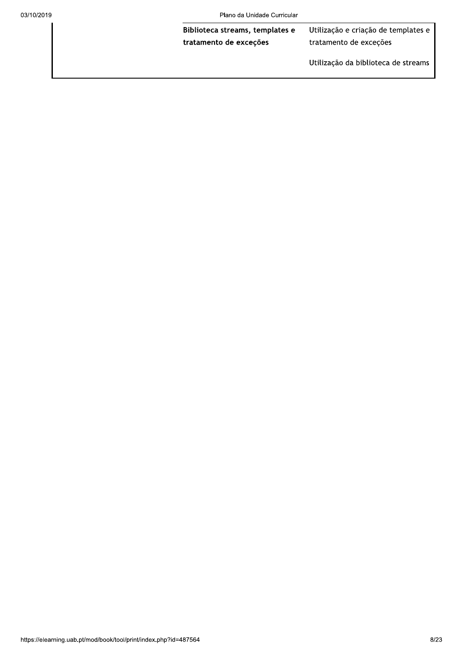Plano da Unidade Curricular

Biblioteca streams, templates e tratamento de exceções

Utilização e criação de templates e tratamento de exceções

Utilização da biblioteca de streams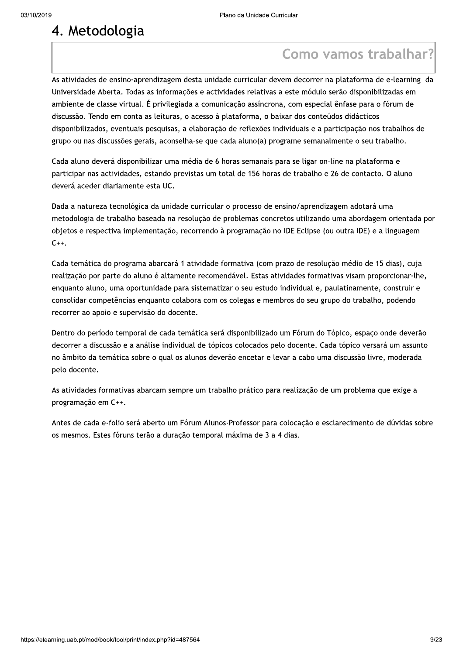$\begin{tabular}{l|c|c|c|c} \hline \textbf{A. Metodologia} & \textbf{P.} & \textbf{P.} & \textbf{P.} & \textbf{P.} & \textbf{P.} & \textbf{P.} & \textbf{P.} & \textbf{P.} & \textbf{P.} & \textbf{P.} & \textbf{P.} & \textbf{P.} & \textbf{P.} & \textbf{P.} & \textbf{P.} & \textbf{P.} & \textbf{P.} & \textbf{P.} & \textbf{P.} & \textbf{P.} & \textbf{P.} & \textbf{P.} & \textbf{P.} & \textbf{P$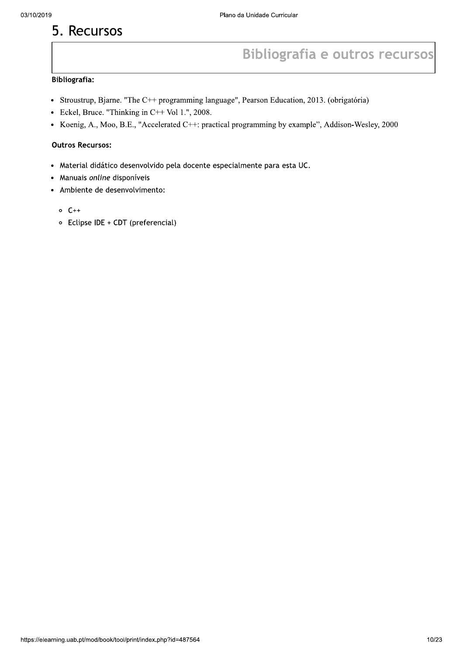## 5. Recursos

## **Bibliografia e outros recursos**

## **Bibliografia:**

- Stroustrup, Bjarne. "The C++ programming language", Pearson Education, 2013. (obrigatória)
- Eckel, Bruce. "Thinking in  $C++$  Vol 1.", 2008.
- Koenig, A., Moo, B.E., "Accelerated C++: practical programming by example", Addison-Wesley, 2000

## **Outros Recursos:**

- · Material didático desenvolvido pela docente especialmente para esta UC.
- Manuais online disponíveis
- Ambiente de desenvolvimento:
	- $0 C++$
	- Eclipse IDE + CDT (preferencial)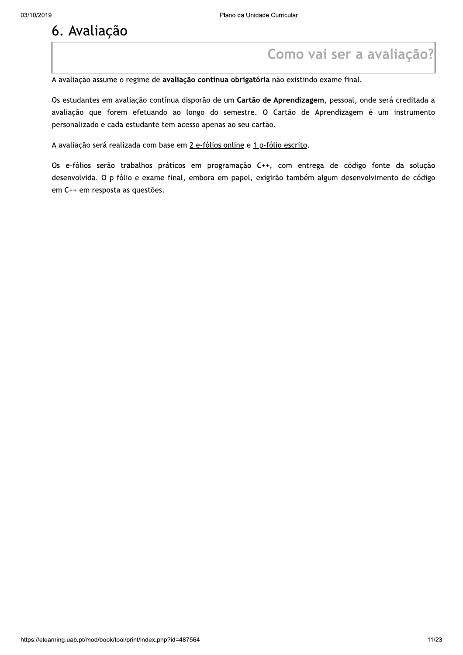<sup>03/10/2019<br> **6. Ávaliação**<br> **6. Ávaliação**<br> **6. Ávaliação**<br> **6. Avaliação**<br> **6. Avaliação**<br> **6. Avaliação**<br> **6. Avaliação**<br> **6. Avaliação**<br> **6. Avaliação**<br> **6. Avaliação**<br> **6. Avaliação**<br> **6. Eval</sup>** personalizado e cada estudante tem acesso apenas ao<br>A avaliação será realizada com base em <u>2 e-fólios onlin</u><br>Os e-fólios serão trabalhos práticos em programa<br>desenvolvida. O p-fólio e exame final, embora em pa<br>em C++ em r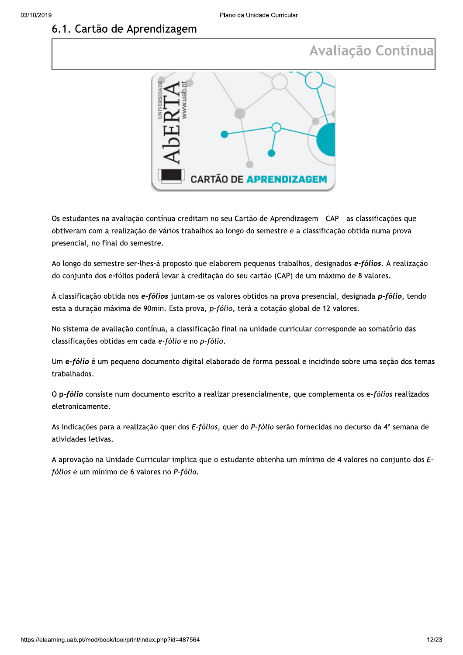## 6.1. Cartão de Aprendizagem

## Avaliação Contínua



Os estudantes na avaliação contínua creditam no seu Cartão de Aprendizagem - CAP - as classificações que obtiveram com a realização de vários trabalhos ao longo do semestre e a classificação obtida numa prova presencial, no final do semestre.

Ao longo do semestre ser-lhes-á proposto que elaborem pequenos trabalhos, designados e-fólios. A realização do conjunto dos e-fólios poderá levar à creditação do seu cartão (CAP) de um máximo de 8 valores.

À classificação obtida nos e-fólios juntam-se os valores obtidos na prova presencial, designada p-fólio, tendo esta a duração máxima de 90min. Esta prova, p-fólio, terá a cotação global de 12 valores.

No sistema de avaliação contínua, a classificação final na unidade curricular corresponde ao somatório das classificações obtidas em cada e-fólio e no p-fólio.

Um e-fólio é um pequeno documento digital elaborado de forma pessoal e incidindo sobre uma seção dos temas trabalhados.

O p-fólio consiste num documento escrito a realizar presencialmente, que complementa os e-fólios realizados eletronicamente.

As indicações para a realização quer dos E-fólios, quer do P-fólio serão fornecidas no decurso da 4ª semana de atividades letivas.

A aprovação na Unidade Curricular implica que o estudante obtenha um mínimo de 4 valores no conjunto dos Efólios e um mínimo de 6 valores no P-fólio.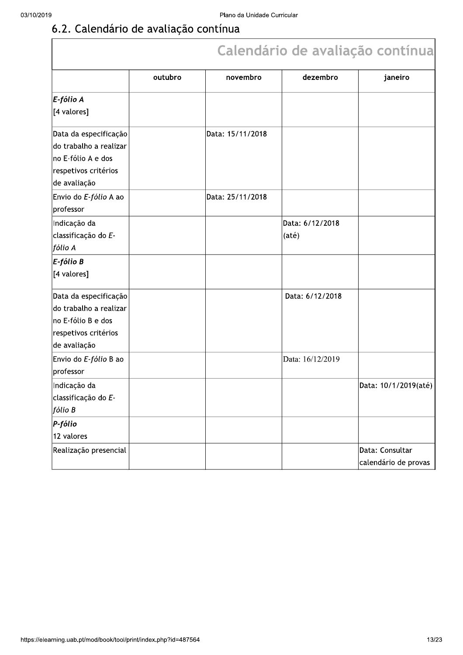|                                                                                                               |         |                  |                          | Calendário de avaliação contínua        |
|---------------------------------------------------------------------------------------------------------------|---------|------------------|--------------------------|-----------------------------------------|
|                                                                                                               | outubro | novembro         | dezembro                 | janeiro                                 |
| $E$ -fólio A<br>[4 valores]                                                                                   |         |                  |                          |                                         |
| Data da especificação<br>do trabalho a realizar<br>no E-fólio A e dos<br>respetivos critérios<br>de avaliação |         | Data: 15/11/2018 |                          |                                         |
| Envio do E-fólio A ao<br>professor                                                                            |         | Data: 25/11/2018 |                          |                                         |
| Indicação da<br>classificação do E-<br> fólio A                                                               |         |                  | Data: 6/12/2018<br>(até) |                                         |
| $E$ -fólio B<br>[4 valores]                                                                                   |         |                  |                          |                                         |
| Data da especificação<br>do trabalho a realizar<br>no E-fólio B e dos<br>respetivos critérios<br>de avaliação |         |                  | Data: 6/12/2018          |                                         |
| Envio do E-fólio B ao<br>professor                                                                            |         |                  | Data: 16/12/2019         |                                         |
| Indicação da<br>classificação do E-<br>fólio B                                                                |         |                  |                          | Data: 10/1/2019(até)                    |
| $P$ -fólio<br>12 valores                                                                                      |         |                  |                          |                                         |
| Realização presencial                                                                                         |         |                  |                          | Data: Consultar<br>calendário de provas |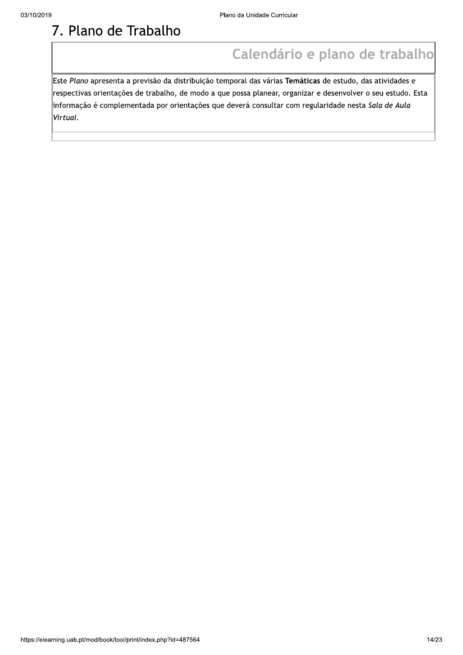## 7. Plano de Trabalho

## Calendário e plano de trabalho

Este Plano apresenta a previsão da distribuição temporal das várias Temáticas de estudo, das atividades e respectivas orientações de trabalho, de modo a que possa planear, organizar e desenvolver o seu estudo. Esta informação é complementada por orientações que deverá consultar com regularidade nesta Sala de Aula Virtual.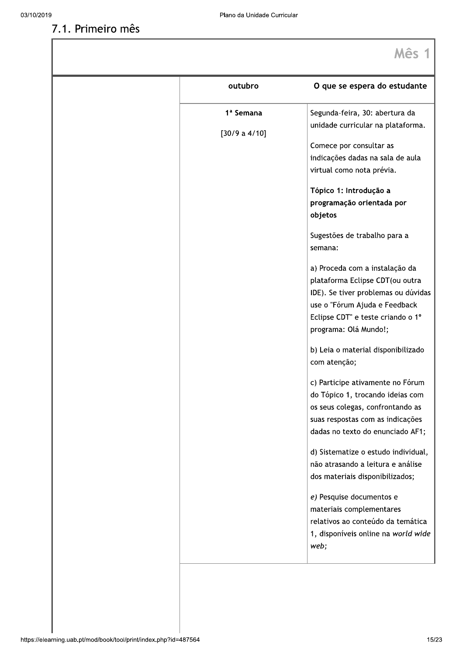## 7.1. Primeiro mês

| outubro               | O que se espera do estudante                                                                                                                                                                            |
|-----------------------|---------------------------------------------------------------------------------------------------------------------------------------------------------------------------------------------------------|
| 1 <sup>ª</sup> Semana | Segunda-feira, 30: abertura da<br>unidade curricular na plataforma.                                                                                                                                     |
| [30/9 a 4/10]         | Comece por consultar as<br>indicações dadas na sala de aula<br>virtual como nota prévia.                                                                                                                |
|                       | Tópico 1: Introdução a<br>programação orientada por<br>objetos                                                                                                                                          |
|                       | Sugestões de trabalho para a<br>semana:                                                                                                                                                                 |
|                       | a) Proceda com a instalação da<br>plataforma Eclipse CDT(ou outra<br>IDE). Se tiver problemas ou dúvidas<br>use o "Fórum Ajuda e Feedback<br>Eclipse CDT" e teste criando o 1º<br>programa: Olá Mundo!; |
|                       | b) Leia o material disponibilizado<br>com atenção;                                                                                                                                                      |
|                       | c) Participe ativamente no Fórum<br>do Tópico 1, trocando ideias com<br>os seus colegas, confrontando as<br>suas respostas com as indicações<br>dadas no texto do enunciado AF1;                        |
|                       | d) Sistematize o estudo individual,<br>não atrasando a leitura e análise<br>dos materiais disponibilizados;                                                                                             |
|                       | e) Pesquise documentos e<br>materiais complementares<br>relativos ao conteúdo da temática<br>1, disponíveis online na world wide<br>web;                                                                |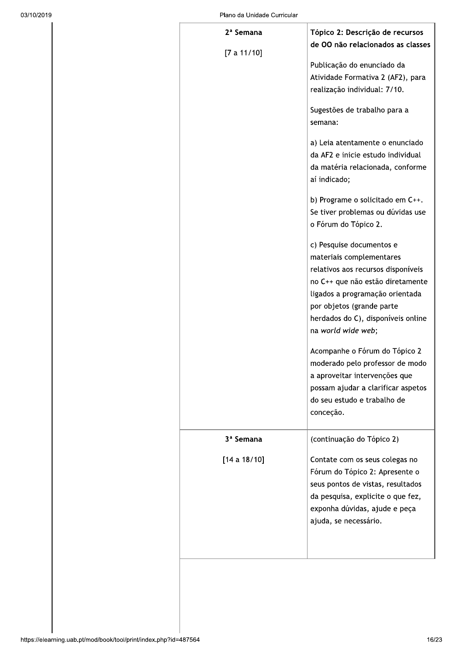| $2a$ Semana           | Tópico 2: Descrição de recursos                                                                                                                                                                                                                                                                                                                                                                                                                                                                                                                                                                                                                                            |
|-----------------------|----------------------------------------------------------------------------------------------------------------------------------------------------------------------------------------------------------------------------------------------------------------------------------------------------------------------------------------------------------------------------------------------------------------------------------------------------------------------------------------------------------------------------------------------------------------------------------------------------------------------------------------------------------------------------|
| [7 a 11/10]           | de OO não relacionados as classes<br>Publicação do enunciado da<br>Atividade Formativa 2 (AF2), para<br>realização individual: 7/10.<br>Sugestões de trabalho para a<br>semana:<br>a) Leia atentamente o enunciado<br>da AF2 e inicie estudo individual<br>da matéria relacionada, conforme<br>aí indicado;<br>b) Programe o solicitado em C++.<br>Se tiver problemas ou dúvidas use<br>o Fórum do Tópico 2.<br>c) Pesquise documentos e<br>materiais complementares<br>relativos aos recursos disponíveis<br>no C++ que não estão diretamente<br>ligados a programação orientada<br>por objetos (grande parte<br>herdados do C), disponíveis online<br>na world wide web; |
|                       | Acompanhe o Fórum do Tópico 2<br>moderado pelo professor de modo<br>a aproveitar intervenções que<br>possam ajudar a clarificar aspetos<br>do seu estudo e trabalho de<br>conceção.                                                                                                                                                                                                                                                                                                                                                                                                                                                                                        |
| 3 <sup>ª</sup> Semana | (continuação do Tópico 2)                                                                                                                                                                                                                                                                                                                                                                                                                                                                                                                                                                                                                                                  |
| [14 a 18/10]          | Contate com os seus colegas no<br>Fórum do Tópico 2: Apresente o<br>seus pontos de vistas, resultados<br>da pesquisa, explicite o que fez,<br>exponha dúvidas, ajude e peça<br>ajuda, se necessário.                                                                                                                                                                                                                                                                                                                                                                                                                                                                       |
|                       |                                                                                                                                                                                                                                                                                                                                                                                                                                                                                                                                                                                                                                                                            |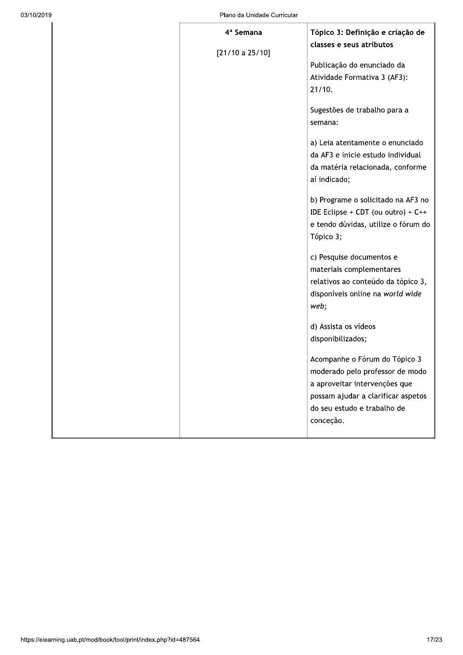| 4 <sup>ª</sup> Semana | Tópico 3: Definição e criação de         |
|-----------------------|------------------------------------------|
| [21/10 a 25/10]       | classes e seus atributos                 |
|                       | Publicação do enunciado da               |
|                       | Atividade Formativa 3 (AF3):             |
|                       | 21/10.                                   |
|                       |                                          |
|                       | Sugestões de trabalho para a             |
|                       | semana:                                  |
|                       | a) Leia atentamente o enunciado          |
|                       | da AF3 e inicie estudo individual        |
|                       | da matéria relacionada, conforme         |
|                       | aí indicado;                             |
|                       | b) Programe o solicitado na AF3 no       |
|                       | IDE Eclipse + CDT (ou outro) + $C++$     |
|                       | e tendo dúvidas, utilize o fórum do      |
|                       | Tópico 3;                                |
|                       |                                          |
|                       | c) Pesquise documentos e                 |
|                       | materiais complementares                 |
|                       | relativos ao conteúdo da tópico 3,       |
|                       | disponíveis online na world wide<br>web; |
|                       |                                          |
|                       | d) Assista os vídeos                     |
|                       | disponibilizados;                        |
|                       | Acompanhe o Fórum do Tópico 3            |
|                       | moderado pelo professor de modo          |
|                       | a aproveitar intervenções que            |
|                       | possam ajudar a clarificar aspetos       |
|                       | do seu estudo e trabalho de              |
|                       | conceção.                                |
|                       |                                          |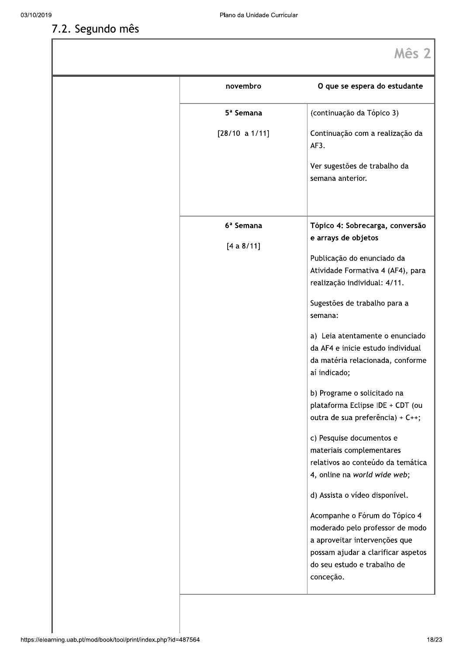## 7.2. Segundo mês

| novembro                            | O que se espera do estudante                                                                                                                                                                                                                                                                                                                                                                                                                                                                                                                                                                           |
|-------------------------------------|--------------------------------------------------------------------------------------------------------------------------------------------------------------------------------------------------------------------------------------------------------------------------------------------------------------------------------------------------------------------------------------------------------------------------------------------------------------------------------------------------------------------------------------------------------------------------------------------------------|
| 5 <sup>ª</sup> Semana               | (continuação da Tópico 3)                                                                                                                                                                                                                                                                                                                                                                                                                                                                                                                                                                              |
| [28/10 a 1/11]                      | Continuação com a realização da<br>AF3.                                                                                                                                                                                                                                                                                                                                                                                                                                                                                                                                                                |
|                                     | Ver sugestões de trabalho da<br>semana anterior.                                                                                                                                                                                                                                                                                                                                                                                                                                                                                                                                                       |
| 6 <sup>ª</sup> Semana<br>[4 a 8/11] | Tópico 4: Sobrecarga, conversão<br>e arrays de objetos<br>Publicação do enunciado da<br>Atividade Formativa 4 (AF4), para<br>realização individual: 4/11.<br>Sugestões de trabalho para a<br>semana:<br>a) Leia atentamente o enunciado<br>da AF4 e inicie estudo individual<br>da matéria relacionada, conforme<br>aí indicado;<br>b) Programe o solicitado na<br>plataforma Eclipse IDE + CDT (ou<br>outra de sua preferência) + C++;<br>c) Pesquise documentos e<br>materiais complementares<br>relativos ao conteúdo da temática<br>4, online na world wide web;<br>d) Assista o vídeo disponível. |
|                                     | Acompanhe o Fórum do Tópico 4<br>moderado pelo professor de modo<br>a aproveitar intervenções que<br>possam ajudar a clarificar aspetos<br>do seu estudo e trabalho de<br>conceção.                                                                                                                                                                                                                                                                                                                                                                                                                    |
|                                     |                                                                                                                                                                                                                                                                                                                                                                                                                                                                                                                                                                                                        |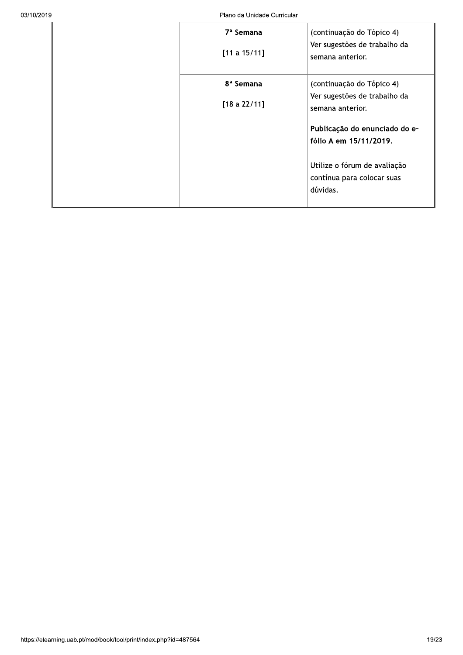Plano Plano da Unidade Curricular

| Plano da Unidade Curricular           |                                                                                                                                   |
|---------------------------------------|-----------------------------------------------------------------------------------------------------------------------------------|
| 7 <sup>ª</sup> Semana<br>[11 a 15/11] | (continuação do Tópico 4)<br>Ver sugestões de trabalho da<br>semana anterior.                                                     |
| 8 <sup>ª</sup> Semana<br>[18a 22/11]  | (continuação do Tópico 4)<br>Ver sugestões de trabalho da<br>semana anterior.                                                     |
|                                       | Publicação do enunciado do e-<br>fólio A em 15/11/2019.<br>Utilize o fórum de avaliação<br>contínua para colocar suas<br>dúvidas. |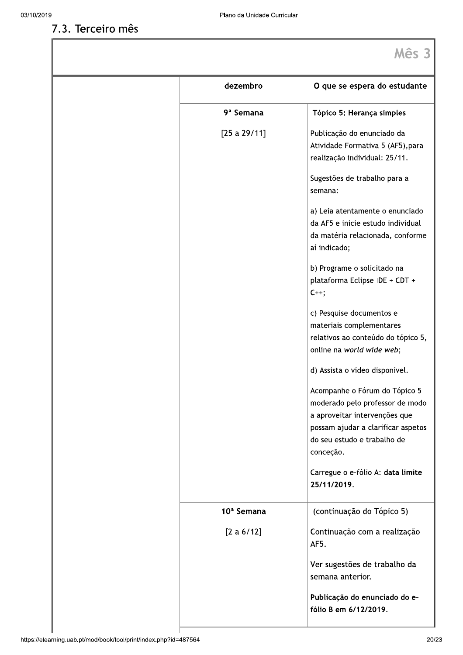7.3. Terceiro mês

| dezembro               | O que se espera do estudante                                                                                                                                                        |
|------------------------|-------------------------------------------------------------------------------------------------------------------------------------------------------------------------------------|
| 9 <sup>ª</sup> Semana  | Tópico 5: Herança simples                                                                                                                                                           |
| [25 a 29/11]           | Publicação do enunciado da<br>Atividade Formativa 5 (AF5), para<br>realização individual: 25/11.                                                                                    |
|                        | Sugestões de trabalho para a<br>semana:                                                                                                                                             |
|                        | a) Leia atentamente o enunciado<br>da AF5 e inicie estudo individual<br>da matéria relacionada, conforme<br>aí indicado;                                                            |
|                        | b) Programe o solicitado na<br>plataforma Eclipse IDE + CDT +<br>$C++;$                                                                                                             |
|                        | c) Pesquise documentos e<br>materiais complementares<br>relativos ao conteúdo do tópico 5,<br>online na world wide web;                                                             |
|                        | d) Assista o vídeo disponível.                                                                                                                                                      |
|                        | Acompanhe o Fórum do Tópico 5<br>moderado pelo professor de modo<br>a aproveitar intervenções que<br>possam ajudar a clarificar aspetos<br>do seu estudo e trabalho de<br>conceção. |
|                        | Carregue o e-fólio A: data limite<br>25/11/2019.                                                                                                                                    |
| 10 <sup>ª</sup> Semana | (continuação do Tópico 5)                                                                                                                                                           |
| [2 a 6/12]             | Continuação com a realização<br>AF5.                                                                                                                                                |
|                        | Ver sugestões de trabalho da<br>semana anterior.                                                                                                                                    |
|                        | Publicação do enunciado do e-<br>fólio B em 6/12/2019.                                                                                                                              |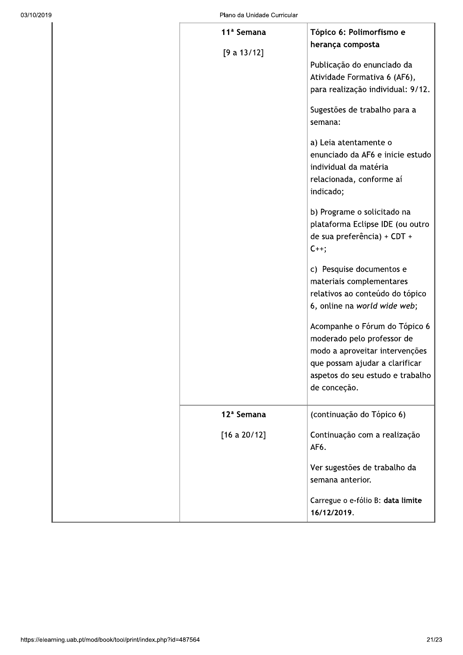| Plano da Unidade Curricular           |                                                                                                                                                                                                                                                                                                                                                                                                                                                                                                                                                                                                                                                                                                                                                             |  |
|---------------------------------------|-------------------------------------------------------------------------------------------------------------------------------------------------------------------------------------------------------------------------------------------------------------------------------------------------------------------------------------------------------------------------------------------------------------------------------------------------------------------------------------------------------------------------------------------------------------------------------------------------------------------------------------------------------------------------------------------------------------------------------------------------------------|--|
| 11 <sup>ª</sup> Semana<br>[9 a 13/12] | Tópico 6: Polimorfismo e<br>herança composta<br>Publicação do enunciado da<br>Atividade Formativa 6 (AF6),<br>para realização individual: 9/12.<br>Sugestões de trabalho para a<br>semana:<br>a) Leia atentamente o<br>enunciado da AF6 e inicie estudo<br>individual da matéria<br>relacionada, conforme aí<br>indicado;<br>b) Programe o solicitado na<br>plataforma Eclipse IDE (ou outro<br>de sua preferência) + CDT +<br>$C_{++}$ ;<br>c) Pesquise documentos e<br>materiais complementares<br>relativos ao conteúdo do tópico<br>6, online na world wide web;<br>Acompanhe o Fórum do Tópico 6<br>moderado pelo professor de<br>modo a aproveitar intervenções<br>que possam ajudar a clarificar<br>aspetos do seu estudo e trabalho<br>de conceção. |  |
| 12 <sup>ª</sup> Semana                | (continuação do Tópico 6)                                                                                                                                                                                                                                                                                                                                                                                                                                                                                                                                                                                                                                                                                                                                   |  |
| [16 a 20/12]                          | Continuação com a realização<br>AF6.<br>Ver sugestões de trabalho da<br>semana anterior.<br>Carregue o e-fólio B: data limite<br>16/12/2019.                                                                                                                                                                                                                                                                                                                                                                                                                                                                                                                                                                                                                |  |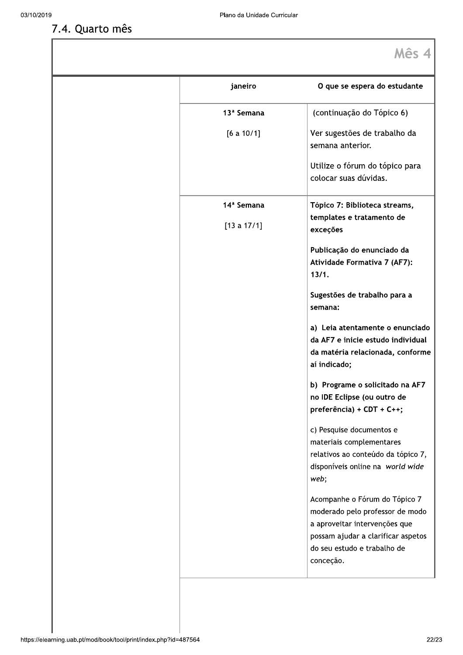## 7.4. Quarto mês

| janeiro                | O que se espera do estudante                                         |
|------------------------|----------------------------------------------------------------------|
| 13 <sup>ª</sup> Semana | (continuação do Tópico 6)                                            |
| [6 a 10/1]             | Ver sugestões de trabalho da<br>semana anterior.                     |
|                        | Utilize o fórum do tópico para<br>colocar suas dúvidas.              |
| 14 <sup>ª</sup> Semana | Tópico 7: Biblioteca streams,                                        |
| [13 a 17/1]            | templates e tratamento de<br>exceções                                |
|                        | Publicação do enunciado da<br>Atividade Formativa 7 (AF7):<br>13/1.  |
|                        | Sugestões de trabalho para a<br>semana:                              |
|                        | a) Leia atentamente o enunciado<br>da AF7 e inicie estudo individual |
|                        | da matéria relacionada, conforme<br>aí indicado;                     |
|                        | b) Programe o solicitado na AF7                                      |
|                        | no IDE Eclipse (ou outro de<br>preferência) + CDT + C++;             |
|                        | c) Pesquise documentos e<br>materiais complementares                 |
|                        | relativos ao conteúdo da tópico 7,                                   |
|                        | disponíveis online na world wide<br>web;                             |
|                        | Acompanhe o Fórum do Tópico 7<br>moderado pelo professor de modo     |
|                        | a aproveitar intervenções que                                        |
|                        | possam ajudar a clarificar aspetos<br>do seu estudo e trabalho de    |
|                        | conceção.                                                            |